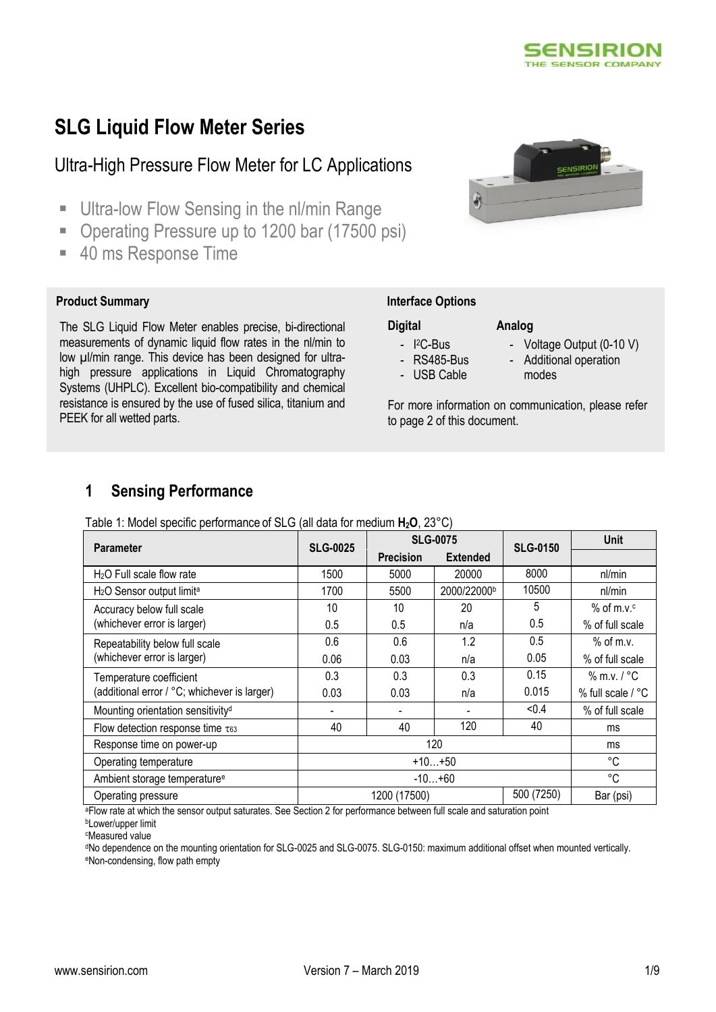

# **SLG Liquid Flow Meter Series**

# Ultra-High Pressure Flow Meter for LC Applications

- **Ultra-low Flow Sensing in the nl/min Range**
- Operating Pressure up to 1200 bar (17500 psi)
- 40 ms Response Time

### **Product Summary** *Interface Options*

The SLG Liquid Flow Meter enables precise, bi-directional measurements of dynamic liquid flow rates in the nl/min to low µl/min range. This device has been designed for ultrahigh pressure applications in Liquid Chromatography Systems (UHPLC). Excellent bio-compatibility and chemical resistance is ensured by the use of fused silica, titanium and PEEK for all wetted parts.

# CONSIRION

### **Digital**

- I <sup>2</sup>C-Bus
- RS485-Bus
- USB Cable
- Voltage Output (0-10 V)
- Additional operation
- modes

For more information on communication, please refer to page 2 of this document.

**Analog**

# **1 Sensing Performance**

Table 1: Model specific performance of SLG (all data for medium **H2O**, 23°C)

| <b>Parameter</b>                                  | <b>SLG-0025</b>            | <b>SLG-0075</b>  |                 | <b>SLG-0150</b> | <b>Unit</b>       |
|---------------------------------------------------|----------------------------|------------------|-----------------|-----------------|-------------------|
|                                                   |                            | <b>Precision</b> | <b>Extended</b> |                 |                   |
| $H2O$ Full scale flow rate                        | 1500                       | 5000             | 20000           | 8000            | nl/min            |
| H <sub>2</sub> O Sensor output limit <sup>a</sup> | 1700                       | 5500             | 2000/22000b     | 10500           | nl/min            |
| Accuracy below full scale                         | 10                         | 10               | 20              | 5               | $%$ of m.v.c      |
| (whichever error is larger)                       | 0.5                        | 0.5              | n/a             | 0.5             | % of full scale   |
| Repeatability below full scale                    | 0.6                        | 0.6              | 1.2             | 0.5             | $%$ of m.v.       |
| (whichever error is larger)                       | 0.06                       | 0.03             | n/a             | 0.05            | % of full scale   |
| Temperature coefficient                           | 0.3                        | 0.3              | 0.3             | 0.15            | $%$ m.v. $/$ °C   |
| (additional error / °C; whichever is larger)      | 0.03                       | 0.03             | n/a             | 0.015           | % full scale / °C |
| Mounting orientation sensitivity <sup>d</sup>     |                            |                  |                 | < 0.4           | % of full scale   |
| Flow detection response time $\tau_{63}$          | 40                         | 40               | 120             | 40              | ms                |
| Response time on power-up                         | 120                        |                  |                 | ms              |                   |
| Operating temperature                             | $+10+50$                   |                  |                 | °C              |                   |
| Ambient storage temperature <sup>e</sup>          | $-10+60$                   |                  |                 | °C              |                   |
| Operating pressure                                | 500 (7250)<br>1200 (17500) |                  |                 | Bar (psi)       |                   |

aFlow rate at which the sensor output saturates. See Section 2 for performance between full scale and saturation point

<sup>b</sup>Lower/upper limit

<sup>d</sup>No dependence on the mounting orientation for SLG-0025 and SLG-0075. SLG-0150: maximum additional offset when mounted vertically. eNon-condensing, flow path empty

<sup>c</sup>Measured value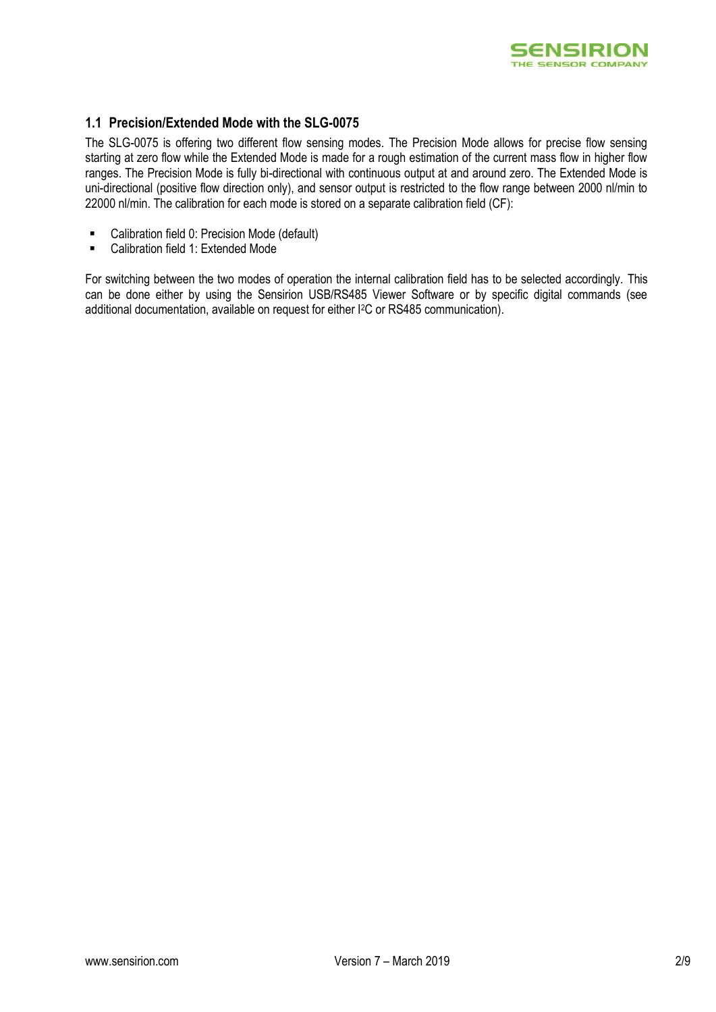

# **1.1 Precision/Extended Mode with the SLG-0075**

The SLG-0075 is offering two different flow sensing modes. The Precision Mode allows for precise flow sensing starting at zero flow while the Extended Mode is made for a rough estimation of the current mass flow in higher flow ranges. The Precision Mode is fully bi-directional with continuous output at and around zero. The Extended Mode is uni-directional (positive flow direction only), and sensor output is restricted to the flow range between 2000 nl/min to 22000 nl/min. The calibration for each mode is stored on a separate calibration field (CF):

- Calibration field 0: Precision Mode (default)
- Calibration field 1: Extended Mode

For switching between the two modes of operation the internal calibration field has to be selected accordingly. This can be done either by using the Sensirion USB/RS485 Viewer Software or by specific digital commands (see additional documentation, available on request for either I2C or RS485 communication).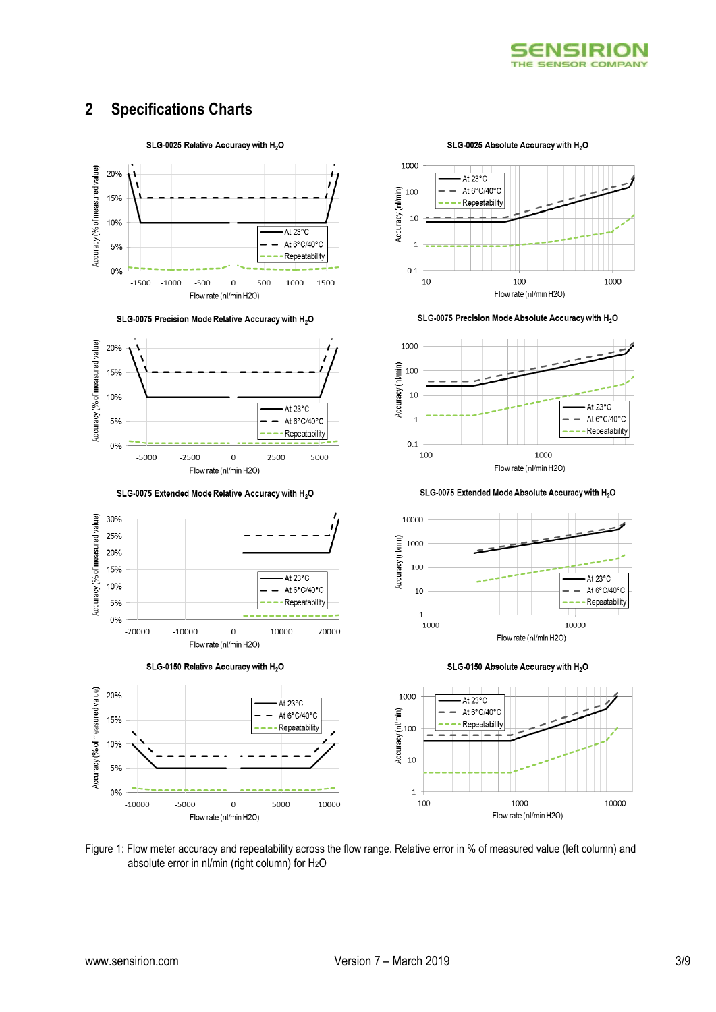

# **2 Specifications Charts**



SLG-0075 Precision Mode Relative Accuracy with H<sub>2</sub>O



SLG-0075 Extended Mode Relative Accuracy with H<sub>2</sub>O



SLG-0150 Relative Accuracy with H<sub>2</sub>O



SLG-0025 Absolute Accuracy with H<sub>2</sub>O



SLG-0075 Precision Mode Absolute Accuracy with H<sub>2</sub>O



SLG-0075 Extended Mode Absolute Accuracy with H<sub>2</sub>O



SLG-0150 Absolute Accuracy with H<sub>2</sub>O



Figure 1: Flow meter accuracy and repeatability across the flow range. Relative error in % of measured value (left column) and absolute error in nl/min (right column) for  $H_2O$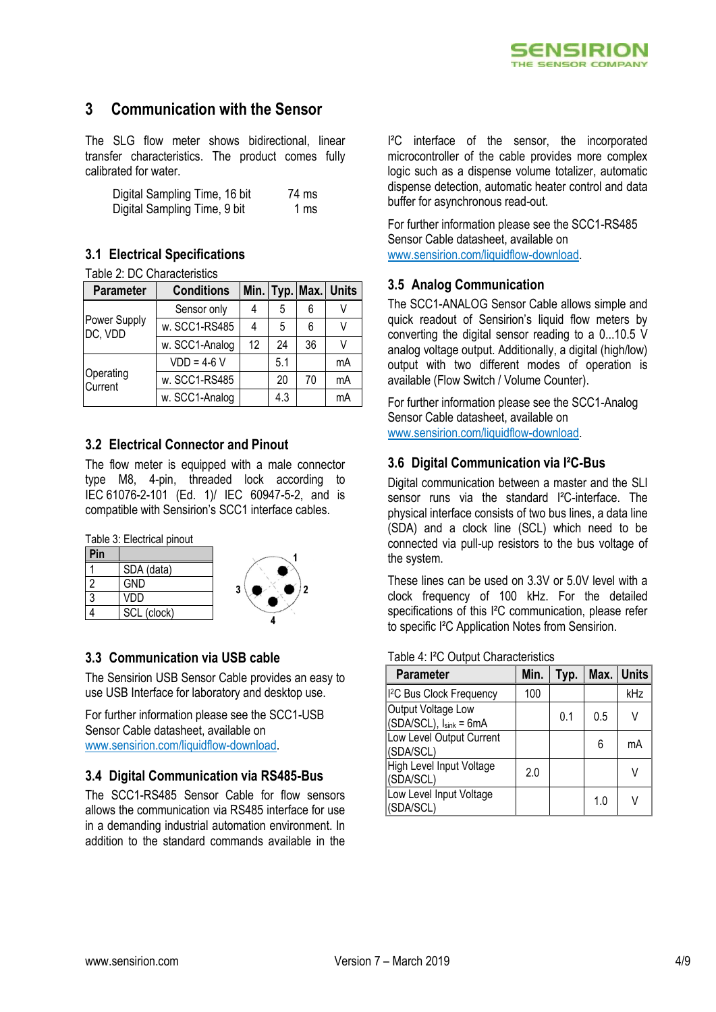

# **3 Communication with the Sensor**

The SLG flow meter shows bidirectional, linear transfer characteristics. The product comes fully calibrated for water.

| Digital Sampling Time, 16 bit | 74 ms |
|-------------------------------|-------|
| Digital Sampling Time, 9 bit  | 1 ms  |

# **3.1 Electrical Specifications**

Table 2: DC Characteristics

| <b>Parameter</b>        | <b>Conditions</b> |    |     |    | Min. Typ. Max. Units |
|-------------------------|-------------------|----|-----|----|----------------------|
|                         | Sensor only       |    | 5   |    |                      |
| Power Supply<br>DC, VDD | w. SCC1-RS485     |    | 5   | 6  |                      |
|                         | w. SCC1-Analog    | 12 | 24  | 36 |                      |
|                         | $VDD = 4-6 V$     |    | 5.1 |    | mA                   |
| Operating<br>Current    | w. SCC1-RS485     |    | 20  | 70 | mA                   |
|                         | w. SCC1-Analog    |    | 4.3 |    | mA                   |

# **3.2 Electrical Connector and Pinout**

The flow meter is equipped with a male connector type M8, 4-pin, threaded lock according to IEC 61076-2-101 (Ed. 1)/ IEC 60947-5-2, and is compatible with Sensirion's SCC1 interface cables.

Table 3: Electrical pinout

| Pin |             |
|-----|-------------|
|     | SDA (data)  |
| 2   | <b>GND</b>  |
| 3   | VDD         |
|     | SCL (clock) |



# **3.3 Communication via USB cable**

The Sensirion USB Sensor Cable provides an easy to use USB Interface for laboratory and desktop use.

For further information please see the SCC1-USB Sensor Cable datasheet, available on [www.sensirion.com/liquidflow-download.](http://www.sensirion.com/liquidflow-download)

# **3.4 Digital Communication via RS485-Bus**

The SCC1-RS485 Sensor Cable for flow sensors allows the communication via RS485 interface for use in a demanding industrial automation environment. In addition to the standard commands available in the

I²C interface of the sensor, the incorporated microcontroller of the cable provides more complex logic such as a dispense volume totalizer, automatic dispense detection, automatic heater control and data buffer for asynchronous read-out.

For further information please see the SCC1-RS485 Sensor Cable datasheet, available on [www.sensirion.com/liquidflow-download.](http://www.sensirion.com/liquidflow-download)

# **3.5 Analog Communication**

The SCC1-ANALOG Sensor Cable allows simple and quick readout of Sensirion's liquid flow meters by converting the digital sensor reading to a 0...10.5 V analog voltage output. Additionally, a digital (high/low) output with two different modes of operation is available (Flow Switch / Volume Counter).

For further information please see the SCC1-Analog Sensor Cable datasheet, available on [www.sensirion.com/liquidflow-download.](http://www.sensirion.com/liquidflow-download)

# **3.6 Digital Communication via I²C-Bus**

Digital communication between a master and the SLI sensor runs via the standard I<sup>2</sup>C-interface. The physical interface consists of two bus lines, a data line (SDA) and a clock line (SCL) which need to be connected via pull-up resistors to the bus voltage of the system.

These lines can be used on 3.3V or 5.0V level with a clock frequency of 100 kHz. For the detailed specifications of this I²C communication, please refer to specific I²C Application Notes from Sensirion.

# Table 4: I²C Output Characteristics

| <b>Parameter</b>                             | Min. | Typ. |     | Max. Units |
|----------------------------------------------|------|------|-----|------------|
| <sup>2</sup> C Bus Clock Frequency           | 100  |      |     | kHz        |
| Output Voltage Low<br>(SDA/SCL), Isink = 6mA |      | 0.1  | 0.5 | V          |
| Low Level Output Current<br>(SDA/SCL)        |      |      | 6   | mA         |
| High Level Input Voltage<br>(SDA/SCL)        | 2.0  |      |     |            |
| Low Level Input Voltage<br>(SDA/SCL)         |      |      | 1.0 |            |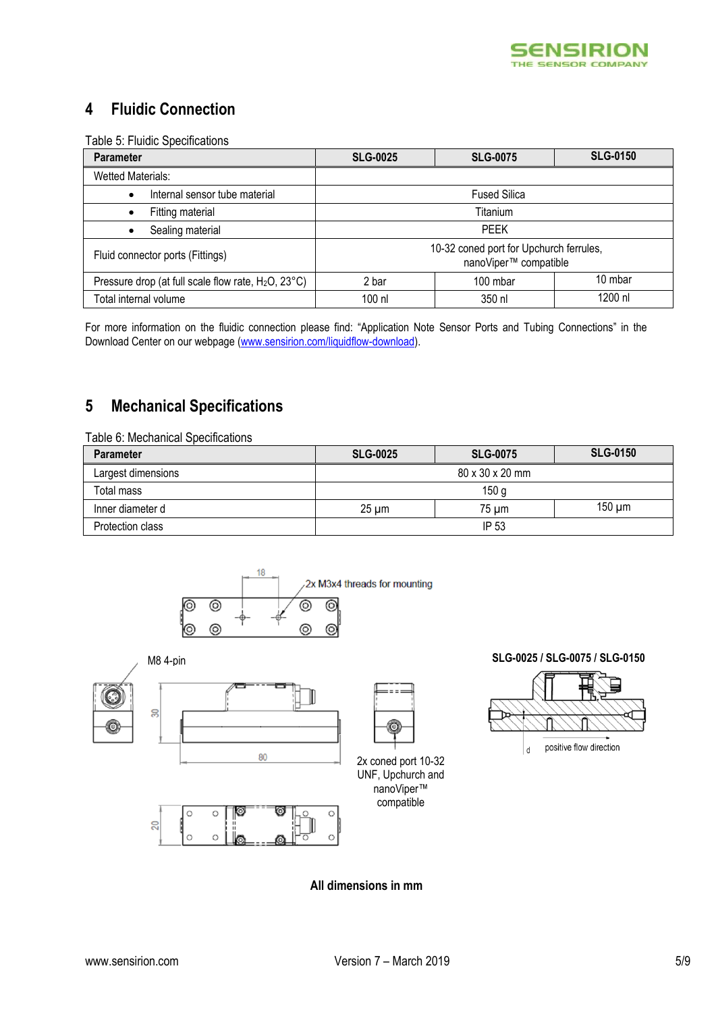

# **4 Fluidic Connection**

Table 5: Fluidic Specifications

| <b>Parameter</b>                                                | <b>SLG-0150</b><br><b>SLG-0075</b><br><b>SLG-0025</b>            |                     |  |  |  |
|-----------------------------------------------------------------|------------------------------------------------------------------|---------------------|--|--|--|
| <b>Wetted Materials:</b>                                        |                                                                  |                     |  |  |  |
| Internal sensor tube material<br>$\bullet$                      |                                                                  | <b>Fused Silica</b> |  |  |  |
| Fitting material                                                |                                                                  | Titanium            |  |  |  |
| Sealing material                                                | <b>PEEK</b>                                                      |                     |  |  |  |
| Fluid connector ports (Fittings)                                | 10-32 coned port for Upchurch ferrules,<br>nanoViper™ compatible |                     |  |  |  |
| Pressure drop (at full scale flow rate, H <sub>2</sub> O, 23°C) | 10 mbar<br>100 mbar<br>2 bar                                     |                     |  |  |  |
| Total internal volume                                           | 1200 nl<br>100 nl<br>350 nl                                      |                     |  |  |  |

For more information on the fluidic connection please find: "Application Note Sensor Ports and Tubing Connections" in the Download Center on our webpage [\(www.sensirion.com/liquidflow-download\)](http://www.sensirion.com/liquidflow-download).

# **5 Mechanical Specifications**

| Table 6: Mechanical Specifications |                 |                  |                 |
|------------------------------------|-----------------|------------------|-----------------|
| <b>Parameter</b>                   | <b>SLG-0025</b> | <b>SLG-0075</b>  | <b>SLG-0150</b> |
| Largest dimensions                 |                 | 80 x 30 x 20 mm  |                 |
| Total mass                         |                 | 150 <sub>g</sub> |                 |
| Inner diameter d                   | $25 \mu m$      | 75 um            | $150 \mu m$     |
| Protection class                   |                 | IP 53            |                 |



 $\mathbb{S}^2$ 







# M8 4-pin **SLG-0025 / SLG-0075 / SLG-0150**



 $\mathsf{d}$ 

positive flow direction

**All dimensions in mm**

nanoViper™ compatible

===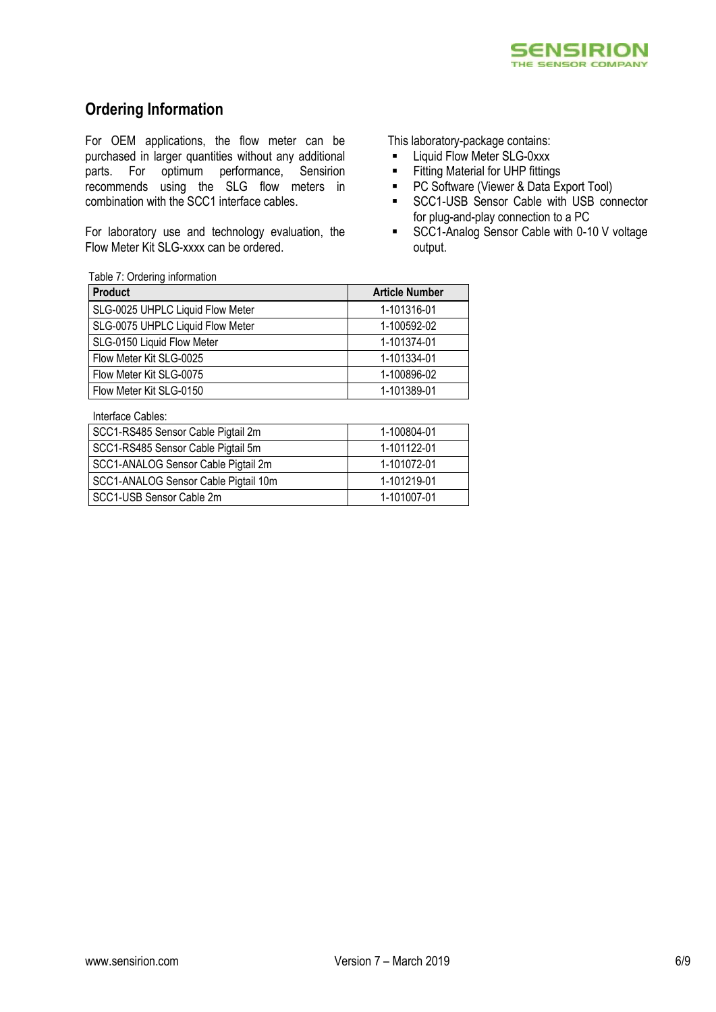

# **Ordering Information**

For OEM applications, the flow meter can be purchased in larger quantities without any additional parts. For optimum performance, Sensirion recommends using the SLG flow meters in combination with the SCC1 interface cables.

For laboratory use and technology evaluation, the Flow Meter Kit SLG-xxxx can be ordered.

This laboratory-package contains:

- **E** Liquid Flow Meter SLG-0xxx
- **Fitting Material for UHP fittings**
- **PC Software (Viewer & Data Export Tool)**
- **SCC1-USB Sensor Cable with USB connector** for plug-and-play connection to a PC
- SCC1-Analog Sensor Cable with 0-10 V voltage output.

### Table 7: Ordering information

| <b>Product</b>                   | <b>Article Number</b> |
|----------------------------------|-----------------------|
| SLG-0025 UHPLC Liquid Flow Meter | 1-101316-01           |
| SLG-0075 UHPLC Liquid Flow Meter | 1-100592-02           |
| SLG-0150 Liquid Flow Meter       | 1-101374-01           |
| Flow Meter Kit SLG-0025          | 1-101334-01           |
| Flow Meter Kit SLG-0075          | 1-100896-02           |
| Flow Meter Kit SLG-0150          | 1-101389-01           |

Interface Cables:

| SCC1-RS485 Sensor Cable Pigtail 2m   | 1-100804-01 |
|--------------------------------------|-------------|
| SCC1-RS485 Sensor Cable Pigtail 5m   | 1-101122-01 |
| SCC1-ANALOG Sensor Cable Pigtail 2m  | 1-101072-01 |
| SCC1-ANALOG Sensor Cable Pigtail 10m | 1-101219-01 |
| SCC1-USB Sensor Cable 2m             | 1-101007-01 |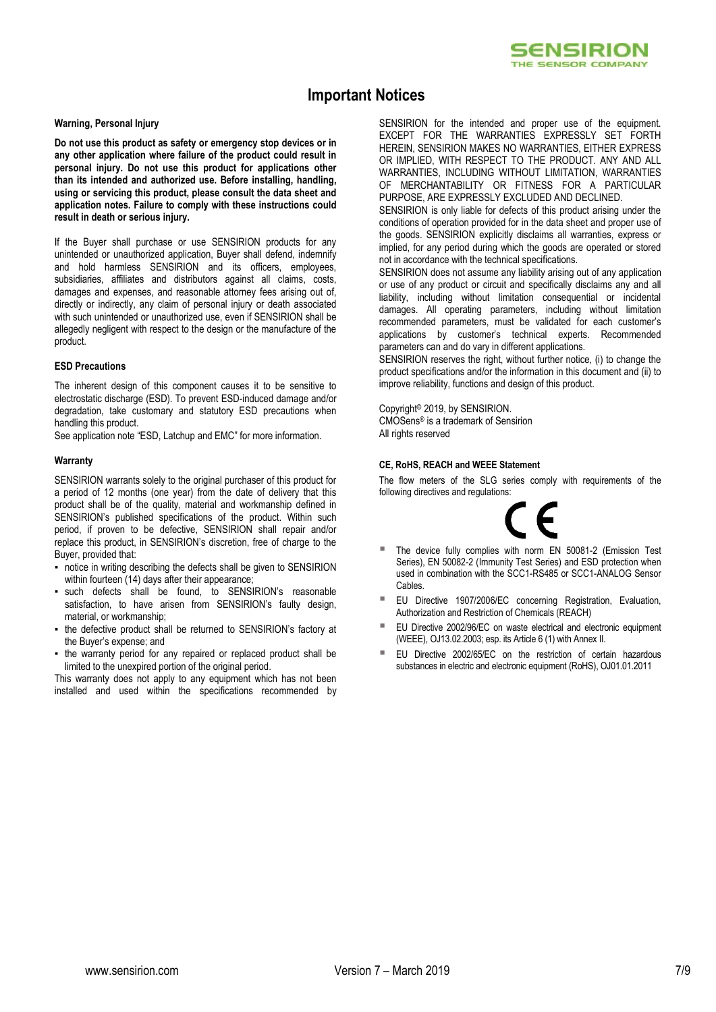

# **Important Notices**

### **Warning, Personal Injury**

**Do not use this product as safety or emergency stop devices or in any other application where failure of the product could result in personal injury. Do not use this product for applications other than its intended and authorized use. Before installing, handling, using or servicing this product, please consult the data sheet and application notes. Failure to comply with these instructions could result in death or serious injury.**

If the Buyer shall purchase or use SENSIRION products for any unintended or unauthorized application, Buyer shall defend, indemnify and hold harmless SENSIRION and its officers, employees, subsidiaries, affiliates and distributors against all claims, costs, damages and expenses, and reasonable attorney fees arising out of, directly or indirectly, any claim of personal injury or death associated with such unintended or unauthorized use, even if SENSIRION shall be allegedly negligent with respect to the design or the manufacture of the product.

### **ESD Precautions**

The inherent design of this component causes it to be sensitive to electrostatic discharge (ESD). To prevent ESD-induced damage and/or degradation, take customary and statutory ESD precautions when handling this product.

See application note "ESD, Latchup and EMC" for more information.

### **Warranty**

SENSIRION warrants solely to the original purchaser of this product for a period of 12 months (one year) from the date of delivery that this product shall be of the quality, material and workmanship defined in SENSIRION's published specifications of the product. Within such period, if proven to be defective, SENSIRION shall repair and/or replace this product, in SENSIRION's discretion, free of charge to the Buyer, provided that:

- **•** notice in writing describing the defects shall be given to SENSIRION within fourteen (14) days after their appearance;
- such defects shall be found, to SENSIRION's reasonable satisfaction, to have arisen from SENSIRION's faulty design, material, or workmanship;
- the defective product shall be returned to SENSIRION's factory at the Buyer's expense; and
- . the warranty period for any repaired or replaced product shall be limited to the unexpired portion of the original period.

This warranty does not apply to any equipment which has not been installed and used within the specifications recommended by SENSIRION for the intended and proper use of the equipment. EXCEPT FOR THE WARRANTIES EXPRESSLY SET FORTH HEREIN, SENSIRION MAKES NO WARRANTIES, EITHER EXPRESS OR IMPLIED, WITH RESPECT TO THE PRODUCT. ANY AND ALL WARRANTIES, INCLUDING WITHOUT LIMITATION, WARRANTIES OF MERCHANTABILITY OR FITNESS FOR A PARTICULAR PURPOSE, ARE EXPRESSLY EXCLUDED AND DECLINED.

SENSIRION is only liable for defects of this product arising under the conditions of operation provided for in the data sheet and proper use of the goods. SENSIRION explicitly disclaims all warranties, express or implied, for any period during which the goods are operated or stored not in accordance with the technical specifications.

SENSIRION does not assume any liability arising out of any application or use of any product or circuit and specifically disclaims any and all liability, including without limitation consequential or incidental damages. All operating parameters, including without limitation recommended parameters, must be validated for each customer's applications by customer's technical experts. Recommended parameters can and do vary in different applications.

SENSIRION reserves the right, without further notice, (i) to change the product specifications and/or the information in this document and (ii) to improve reliability, functions and design of this product.

Copyright© 2019, by SENSIRION. CMOSens® is a trademark of Sensirion

All rights reserved

### **CE, RoHS, REACH and WEEE Statement**

The flow meters of the SLG series comply with requirements of the following directives and regulations:



- The device fully complies with norm EN 50081-2 (Emission Test Series), EN 50082-2 (Immunity Test Series) and ESD protection when used in combination with the SCC1-RS485 or SCC1-ANALOG Sensor Cables.
- EU Directive 1907/2006/EC concerning Registration, Evaluation, Authorization and Restriction of Chemicals (REACH)
- EU Directive 2002/96/EC on waste electrical and electronic equipment (WEEE), OJ13.02.2003; esp. its Article 6 (1) with Annex II.
- EU Directive 2002/65/EC on the restriction of certain hazardous substances in electric and electronic equipment (RoHS), OJ01.01.2011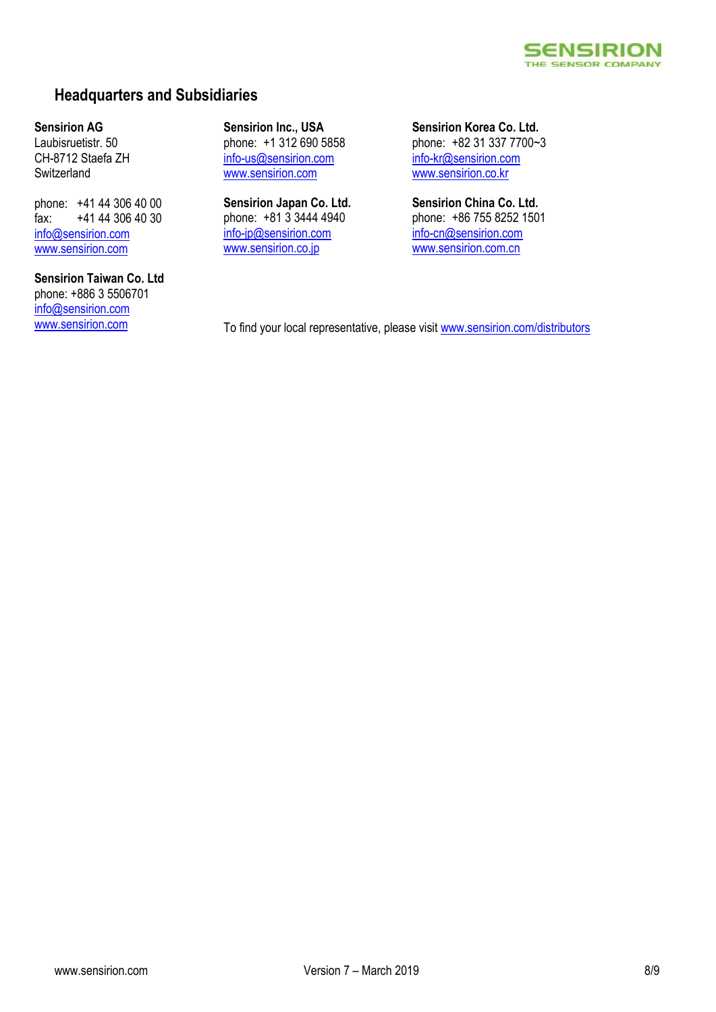### **SENSIRION** THE SENSOR COMPANY

# **Headquarters and Subsidiaries**

### **Sensirion AG**

Laubisruetistr. 50 CH-8712 Staefa ZH **Switzerland** 

phone: +41 44 306 40 00 fax: +41 44 306 40 30 info@sensirion.com www.sensirion.com

# **Sensirion Taiwan Co. Ltd** phone: +886 3 5506701 info@sensirion.com

**Sensirion Inc., USA** phone: +1 312 690 5858 info-us@sensirion.com www.sensirion.com

**Sensirion Japan Co. Ltd.** phone: +81 3 3444 4940 info-jp@sensirion.com www.sensirion.co.jp

**Sensirion Korea Co. Ltd.** phone: +82 31 337 7700~3 info-kr@sensirion.com www.sensirion.co.kr

**Sensirion China Co. Ltd.** phone: +86 755 8252 1501 info-cn@sensirion.com www.sensirion.com.cn

www.sensirion.com To find your local representative, please visit www.sensirion.com/distributors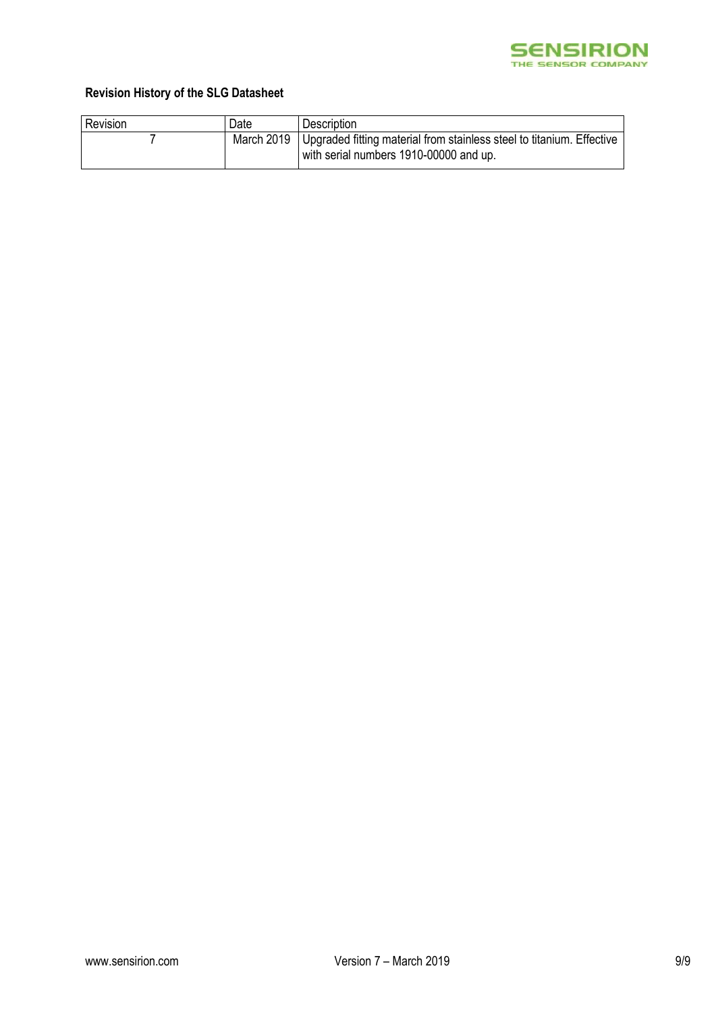

# **Revision History of the SLG Datasheet**

| Revision | Date       | Description                                                                                                     |
|----------|------------|-----------------------------------------------------------------------------------------------------------------|
|          | March 2019 | Upgraded fitting material from stainless steel to titanium. Effective<br>with serial numbers 1910-00000 and up. |